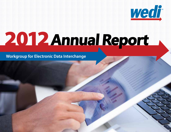

# **Annual Report**

 **Workgroup for Electronic Data Interchange**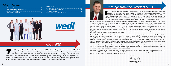### About WEDI





In 2012, WEDI continued to serve in our role of trusted advisor to the Department of Health and Human<br>Services (HHS) and the Health IT community, weighing in on several new regulations and serving<br>as a guide for the indust n 2012, WEDI continued to serve in our role of trusted advisor to the Department of Health and Human Services (HHS) and the Health IT community, weighing in on several new regulations and serving CAQH CORE Operating Rules and ICD-10, WEDI provided detailed recommendations to HHS based on our collection of valuable data surrounding the industry's readiness. This research and feedback influenced policy and compliance timelines that affected stakeholders throughout the healthcare industry.

**2 3 Devin A. Jopp, Ed.D.** *President & CEO*

Throughout the year, WEDI developed new partnerships and continued collaboration with several organizations, including the Centers for Medicare & Medicaid Services (CMS) Confidentiality Coalition, American Medical Association (AMA), Medical Group Management Association (MGMA) and HHS. These strategic partnerships enabled us to broaden our reach in the Health IT industry and deliver vital information to all industry stakeholders. Our partnership with Confidentiality Coalition led to a successful briefing on Capitol Hill, where we described how electronic health data is being exchanged to improve patient care and health outcomes to more than 50 congressional and senate staff members. Our collaboration with AMA and MGMA resulted in a workshop that brought together physician practices and practice management system vendors to explore how new federal mandates will improve workflow processes and increase physician practice performance and profitability.

Transfer de la proposition de la proposition de la proposition de la proposition de la proposition de la proposition de la proposition de la proposition de la proposition de la proposition de la proposition de la propositi he Workgroup for Electronic Data Interchange (WEDI) is the leading authority on the use of Health IT to improve healthcare information exchange in order to enhance the quality of care, improve efficiency and reduce costs of the American healthcare system. Created by the Secretary of Health and Human Services in 1991 and named in the Health Insurance Portability and Accountability Act (HIPAA) legislation as an advisor to the Secretary of HHS, WEDI continues to be the place where leading government agencies, health plans, providers and vendors come for information, education and innovation on Health IT.



Thanks to the hard work and contributions of our workgroups, members, collaborating organizations and countless individuals affiliated with the Health IT community, 2012 was a year of growth, activity and impact for WEDI. Our webinars and town halls educated more than 2,500 attendees during the year and our on-site events gathered more than 1,000 attendees from across the nation. Our 40 workgroups turned out industry-enhancing work, including a myriad of white papers and issue briefs that address crucial Health IT issues, the ICD-10 Implementation Timeline, an 5010 Implementation Issues database and the WEDI Health ID Implementation Guide, which has become a requirement for organizations offering Medicare Managed Care Part D benefits.

We succeeded in expanding our membership and creating new specialized workgroups, enhancing our capacity to support industry compliance with new regulations while increasing outreach. In addition, we launched a new, state-of-the-art website and increased our SmartBrief newsletter distribution to more than 18,000 subscribers.

Our inaugural annual report provides a good insight into the important work we do and the many milestones we reached in 2012. As we progress in 2013, we will continue our work to improve healthcare information exchange, leveraging our 2012 successes to make 2013 an even greater year for WEDI and the Health IT industry.

## Table of Contents<br>About WEDI

Sincerely,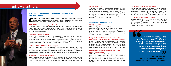**4 5**

## Industry Leadership



omprised of leading industry experts, WEDI's 40 workgroups continued to develop programs and resources designed to help the industry comply with new regulations, manage implementation efforts and better understand Health I programs and resources designed to help the industry comply with new regulations, manage implementation efforts and better understand Health IT.

#### **ASC X12 5010 Transaction Support Initiative**

Because of our role as advisor to the Secretary of HHS, WEDI was chosen to partner with CMS to launch the 5010 Implementation Issues database and a series of webinars designed to gather feedback, track challenges and provide guidance to correcting ASC X12 5010 implementation-related issues.

#### **ICD-10 Testing Webinar Series**

In response to the extension of the ICD-10 compliance deadline, as the industry's foremost resource, WEDI hosted a series of webinars addressing ICD-10 testing and designated November as "ICD-10 Testing Month." Leading the industry forward towards successful implementation, WEDI's series delivered foundational concepts, testing models and requirements, supplying the tools necessary to successfully manage the ICD-10 testing phase.

#### **HIMSS/WEDI ICD-10 National Pilot Program**

WEDI and HIMSS collaborated to create the ICD-10 National Pilot Program, an industrywide collaborative concept created to minimize the guesswork related to ICD-10 testing and implementation through shared best practices from early adopters. Participants are working towards establishing a solution center that providers can access during ICD-10 testing.

#### **WEDI Health IT Innovations Database**

WEDI created the Health IT Innovation Network, an online forum for healthcare organizations to connect with peers, share their latest innovations and learn from best practices. The system offers 25 innovation categories, with 55 sub-categories, and can be sorted by submission date, organization name and topic.

#### **WEDI Health IT Track**

WEDI launched Health IT Track, a federal and state regulatory and legislative tracking service designed to assist WEDI members with compliance issues related to Health IT regulations.

> **experts in the industry.**<br>
> Kathryn Jönzzon<br> *Pirector, HIPAA Product Services &* **Kathryn Jönzzon** *Director, HIPAA Product Services & Support, Delta Dental Plans Association*

The online system displays a detailed snapshot of key Health IT legislative and regulatory information in real time. Health IT Track also provides a current list of the Health IT legislation and regulation changes across all 50 states.

> **1999**<br> **Solution**<br> **Solution**<br> **Solution**<br> **Solution**<br> **Solution Not only have I reaped the benefits of access to WEDI's vast industry workgroup information, but I have also been given the opportunity to meet with key leaders and knowledgeable**

### **White Papers and Issue Briefs**

#### **ICD-10 Critical Metrics**

WEDI developed a set of ICD-10 critical metrics which established a basis to perform benchmark testing prior to ICD-10 implementation. The benchmarks and on-going metrics provide monitoring and early warning indicators to ensure that healthcare organizations' post-ICD-10 implementation business and mitigation plans are successful

#### **Using PHI & Cloud Computing: A Focus on the Intersection of Cloud Technology and Privacy/Security**

In this white paper, WEDI provided details on the intersection of cloud technology and HIPAA/HITECH Privacy and Security requirements, and presented an early look into the various methods organizations are using to leverage cloud technology while safeguarding and protecting Protected Health Information.

#### **Incorporating Financial Neutrality into ICD-10 Implementation Plans**

WEDI's Financial Neutrality white paper listed the several factors that dictate how efficient financial neutrality can actually be achieved. The paper defined the dimensions of financial neutrality and revealed how neutrality-based risks and goals may look different for providers, payers or federal and state agencies.

#### **ICD-10 Impact Assessment Mind Maps**

The ICD-10 Impact Assessment white paper was developed by WEDI to assist the healthcare industry in determining the extent of the potential impact as a result of the ICD-10 mandate. The white paper published a new type of picture ("mind map'") that better depicted the full potential extent of the impact to ICD-10.

#### **ICD-10 End-to-End Testing Issue Brief**

WEDI constructed an overall definition and understanding of end-to-end testing for ICD-10. The issue brief described the key considerations involved in ICD-10 end-to-end testing and offered a collaborative and cooperative approach as a means to successful industry-wide implementation.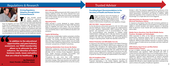### **Providing Expert Recommendations to the Secretary of Health and Human Services**

K cting in its advisory role to the Secretary of<br>Health and Human Services as defined in<br>the HIPAA legislation, WEDI offered several Health and Human Services as defined in recommendations to the Secretary of HHS on issues related to Administrative Simplification and regulatory changes.

#### **ASC X12 5010 – Lessons Learned**

As the discretionary enforcement period for ASC X12 5010 ended and the healthcare industry looked towards the implementation of future regulatory requirements, WEDI reviewed the "lessons learned" and assembled a list of recommendations for CMS. The recommendations were developed to mitigate similar implementation challenges and to help the industry successfully navigate other related critical changes. WEDI encouraged CMS to reference this data when planning for the upcoming regulatory changes to Operating Rules, Health Plan Identifier and ICD-10.

#### **Patient Protection and Affordable Care Act**

In response to the Supreme Court Ruling on the Patient Protection and Affordable Care Act (PPACA), WEDI issued a statement to CMS revealing that, throughout the waiting period, WEDI had been working to help implement many of the Health IT-related provisions listed in the PPACA. The response letter also stated that through research, educational sessions, white papers and various new webbased resources, WEDI and its members are prepared to continue to guide the industry through full implementation of the PPACA.

#### **ICD-10 Compliance Date**

**6 7** WEDI submitted a letter to CMS in response to the Notice of Proposed Rulemaking in the Federal Register regarding the extension of the ICD-10 compliance date from October 1, 2013 to As part of WEDI's continual effort to help bridge the world of implementation and regulation, WEDI partnered with CMS to conduct the first CMS Industry Input Forum and Blue Button Session. The event collected healthcare industry input and feedback on new regulations, explored future opportunities to enhance standards testing and offered a working session on Blue Button for Payers. Attended by more than 150 industry professionals, the collaboration enabled CMS officials to collect valuable input which continues to be used to enhance the quality of healthcare regulation.

The year brought several<br>new healthcare regulations<br>and updates, including the new healthcare regulations and updates, including the introduction of CAQH CORE Operating

October 1, 2014. The response suggested that any extension of the compliance timeline should be put to good use, allowing for more robust assessments, remediation and testing. In addition, WEDI stated that regardless of the compliance date, the cut-over to ICD-10 should begin on a single date and not be staggered.

### **Operating Rules for Electronic Funds Transfer and Electronic Remittance Advice**

**Extract are critical to healthcare.**<br> **1998**<br> **Head, Provider eSolutions, Aetna Jay Eisenstock** *Head, Provider eSolutions, Aetna*

In response to the Interim Final Rule with Comments published on August 10, 2012, WEDI offered recommendations to CMS that would support a smooth transition and industry adoption of Operating Rules for Electronic Funds Transfer (EFT) and Electronic Remittance Advice (ERA).

#### **Mobile Device Questions: Real World Mobile Device Practices, Strategies and Technologies**

WEDI responded to Office of the National Coordinator's (ONC) questionnaire, requesting industry input on privacy and security issues and best practices related to the use of mobile devices in healthcare. WEDI provided detailed responses to questions dealing with the usages of mobile devices by providers and other healthcare professionals.

#### **CMS Industry Input Forum and Blue Button Implementation Session**

Rules for Eligibility and Claim Status and the anticipated extension of the ICD-10 implementation compliance date. Throughout 2012, WEDI conducted comprehensive research to identify the industry's status on the adoption of these regulations and gathered data used to create applicable solutions to shared obstacles. A trusted advisor to Health and Human Services, WEDI shared these results and offered recommendations to the HHS Secretary and the healthcare industry.

## Trusted Advisor

**Driving Regulatory Adoption through Action-Oriented Research** 

*"*  **In addition to the educational opportunities and peer/industry assessment, our WEDI membership allows us to advocate for, and influence, the direction of future business needs, issues and policy** 

## Regulations & Research



### **ICD-10 Readiness**

Early in the year, WEDI partnered with CMS to lead an ICD-10 industry readiness survey. The results collected from more than 2,600 providers, health plans and vendors revealed that much of the industry was not on track to meet the October 2013 compliance date.

### **Operating Rules**

WEDI executed a survey designed to assess industry readiness for the implementation of CAQH CORE Operating Rules for Eligibility and Claim Status. The survey allowed WEDI to track progress on the adoption of the new operating rules and identify areas in need of additional education and assistance.

### **Capitol Hill Briefing**

WEDI and the Confidentiality Coalition presented a briefing on Capitol Hill entitled "The Value of Health Information Exchange." The briefing described how electronic health data is being exchanged to improve patient care and health outcomes while maintaining patient privacy, and examined consumers' perspectives on Health IT and privacy.

#### **Gathering Stakeholders from Across the Nation**

WEDI's2012 conferences and forums dealt with the most significant Health IT issues of the year, including Health Plan Identifier, ICD-10, Omnibus Privacy Regulation, Operating Rules, Health Insurance Exchange, Accountable Care Organizations and Health Information Exchange.

Throughout the year, more than 1,000 healthcare professionals came together to learn about new regulations and policy changes, share best practices and network with peers and industry leaders gathered from across the country.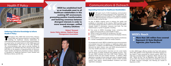

## Communications & Outreach

### **Gathering Collective Knowledge to Inform Health IT Policy**

Inroughout 2012, WEDI held several Policy Advisory<br>Group (PAG) and Technical Advisory Committee (TAC)<br>meetings for healthcare industry stakeholders to Group (PAG) and Technical Advisory Committee (TAC) meetings for healthcare industry stakeholders to collectively provide industry consensus and recommendations on a given policy. As trusted advisor to HHS, WEDI-approved PAG recommendations were sent to the HHS Secretary. TAC recommendations were used to provide feedback to organizations not affiliated with HHS. During the year, WEDI held PAGs on the adoption of Operating Rules for Electronic Funds Transfer and Electronic Remittance Advice; Adoption of Standards for Healthcare Electronic Funds Transfers and Remittance Advice; and ASC X12.

EDI spent much of 2012 broadening communication<br>channels and raising awareness of the organization. An<br>established source for Health IT news, regulatory updates channels and raising awareness of the organization. An established source for Health IT news, regulatory updates and events, WEDI dramatically increased its outreach to members and the industry during the year.

## Health IT Policy



### **Expanding Outreach to Healthcare Stockholders**



As part of WEDI's ongoing work to enhance the quality and availability of information to the industry, WEDI launched a new user-friendly website that allows visitors to more easily find WEDI's valuable Health IT information, resources and tools. The new website boasts a myriad of upgrades, including:

**Figure 2** Free access to WEDI's Knowledge Center, containing white papers and issue briefs on critical Health IT topics  $\blacksquare$  Ability to search the website by workgroup or by topic **Management Association**<br> **Example 2008** Access to a Health IT innovative showcase that displays industry **WEDI's Reach** 

> $\blacksquare$  A new Health IT compliance quide and key regulatory timeframes A vendor marketplace to search for vendor solutions



**WEDI has established itself as an invaluable asset to all healthcare stakeholders in this evolving HIT environment, promoting positive transformation and fostering consensus between divergent interests in order to move toward stronger, unified he**<br>promo<br>and f<br>di

- 
- 
- practices
- 
- 

**industry solutions<br>Robert Tennant<br>***cy Advisor, Medical Group<br>Management Association* **Robert Tennant**  *Senior Policy Advisor, Medical Group* 

> On average each month, WEDI circulated two press announcements and amassed more than 50 mentions in healthcare-related news publications. In addition, the WEDI *Health IT SmartBrief* newsletter delivered the latest industry news and WEDI announcements to more than 18,000 subscribers on a daily basis.

> In 2012, WEDI communications branched out into social media with the launch of Twitter, Facebook and LinkedIn accounts. Over the year, WEDI collected more than 2,000 Twitter followers, 250 Facebook friends and 250 LinkedIn members. In addition, WEDI deployed an average of three emails each week to targeted Health IT industry distribution lists and WEDI contacts. Emails included industry news reports, research/feedback invitations and event registration campaigns.

In 2012, WEDI began offering member-only Town Hall webinars which offer updates on the organization and feature sessions on key Health IT topics presented by industry experts. WEDI Town Hall topics included *Health IT Legislation: What's That Up on the Hill?; What's Up Doc? Get the Regulatory Story Right from the Source–CMS!; Post-Election Implications for Healthcare; Overview of Health Insurance Exchanges;* and *Planning for Growth & Expansion in 2013.*

 **More than 105 million lives covered Represent 32 State Medicaid Agencies, plus Puerto Rico**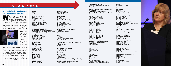

## 2012 WEDI Members

**AAHAM AAPC Ability ADP Benefit Services Advent InfoSystem LLC Aetna Affinity Health Plan AHCCCS AIDS Healthcare Foundation Alameda Alliance for Health Alliance Behavioral Healthcare Allina Hospitals and Clinics Allscripts Altarum American Dental Association American Medical Association American Podiatric Medical Association American Society for Automation in Pharmacy America's Health Insurance Plans Amerigroup Corporation AmeriHealth Mercy AngMar Medical Holdings Apgar & Associates, LLC Applied HIT Insight APWU Health Plan Argus Health Systems, Inc. Arkansas BCBS ASC X12 athenahealth, Inc. Availity, LLC Avior Computing AvMed Health Plans Axiom Systems Inc. Axis Technology, LLC Axway Banner Health BCBS Association BCBS of Alabama BCBS of Arizona BCBS of Florida BCBS of Kansas BCBS of Massachusetts BCBS of Michigan BCBS of Minnesota**

**BCBS of Nebraska BCBS of North Carolina BCBS of South Carolina BCBS of Tennessee BCBS of Vermont Benelogic BJC HealthCare Blue Cross Blue Shield of Louisiana Blue Cross of Northeastern PA Blue Shield of CA Bluegrass Family Health Boundary Information Group Brenda Olson Brian Strange Consulting Business Architects California Health & Human Services CalOptima Cambia Health Solutions Capario Capital Blue Cross CAQH CareFirst CareOregon CareSource Management Group Cedars-Sinai Medical Center Centene Centers for Medicare & Medicaid Services (CMS) CGI Charlene Brownlee CHCS Services, Inc. CHITA Christiana Care Health System Christiansen IT Law CIGNA Health Care ClaimRemedi ClearDATA Networks, Inc. Clemson University CNO Services LLC Cognizant Cognosante, LLC Colorado Dept. of Health Care Policy and Financing Community Health Choice Community Health Network of Connecticut Community Health Systems**

EDI members volunteer their<br>time and talent to provide<br>thoughtful leadership and comtime and talent to provide thoughtful leadership and com mon-sense approaches to enhance the exchange of clinical and administrative healthcare information. Our members de velop solutions to today's public and pri vate business needs and interchange chal lenges. Together, WEDI members lay the



**Companion Data Services Connecticut Health Insurance Exchange Cooperative Exchange Corelink Administrative Solutions CORHIO - Colorado Regional Health Information Organization CornichonHealthcare Innovations, LLC County of Los Angeles Department of Mental Health Coventry Health Care CSC CSG Government Solutions Culbert Healthcare Solutions Culbert Healthcare Solutions Danny Webb Davis Wright Tremaine LLP Deloitte Consulting Delta Dental Insurance Company Delta Dental of Arkansas Delta Dental of California Delta Dental of Colorado Delta Dental of Idaho Delta Dental of Illinois Delta Dental of Michigan Delta Dental of New Jersey Delta Dental of Oklahoma Delta Dental of Pennsylvania Delta Dental of Puerto Rico Delta Dental of Rhode Island Delta Dental of Virginia Delta Dental of Wisconsin Delta Dental Plans Association Department of Vermont Health Access Department of Veterans Affairs Dignity Health DoD Health Affairs Donald Toatley DST Health Solutions EBMS EBS-RMSCO, Inc. EDI Specialists, Inc Edifecs eHealth Initiative eHealth Ohio EHG-DentalXChange EHNAC Eldorado Computing, Inc EmblemHealth Emdeon Corporation eMedix Reimbursement Services, LLC Emergency Medical Services Corporation Enclarity Encore Health Resources Epic Equifax Inc. Ermer Law Group Excellus BCBS Express Scripts, Inc. Fallon Community Health Plan Famey Lockwood Federation of American Hospitals Fidelis Care New York First Choice Health First Pacific Corporation FlexTech, Inc. Florida Agency for Health Care Administration Florida Hospital Association Foot and Ankle Specialists of the Mid-Atlantic Fore Support Services, LLC Gaffey + Associates, Inc Gary Gibler Gateway EDI, Inc. GE Healthcare Integrated IT Solutions GEHA Geisinger Health System Greater New York Hospital Association Group Health Cooperative Harvard Pilgrim Health Care Hawaii Medical Service Assoc. HCRnet, Inc. Health Alliance Medical Plans, Inc. Health Care Service Corporation Health Data Consulting Health Information Group Health Level Seven Health Market Science, Inc. Health Net, Inc. Health Plan of San Joaquin Health Plan Systems HealthAsyst Private Limited Healthaxis Healthcare Billing & Management Association Healthcare Extranets LLC Healthcare Processing Solutions, Inc. HealthNow NY HealthPartners HealthPlus of Michigan Healthtrio Hewlett Packard HHS Office for Civil Rights Highmark**

### **Uniting Collectively to Improve the Efficiency of Healthcare**

ground work for the future of health care infor mation ex change. In 2012,  $WEDI$ extended free member -

ship and discount conference registration rates for all federal and state government agencies and their corresponding de partments. The free government agency membership provides greater opportuni ties for the states to benefit from industry best practices and for payers and provid ers to benefit from increased interaction with government officials.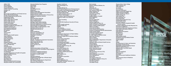apprecia **12 13**

**HIPAA COW HiQ Analytics Horizon BCBSNJ Howard Biederman Hubbert Systems Consulting Humana, Inc. IAIABC IBM Illinois Dept of Healthcare and Family Services Illinois State Medical Society IN Office Medicaid Policy&Planning Independent Health Indian Health Service Indiana State Dept of Health Infosys Public Services Infosys Public Services InsPro Technologies InstaMed Communications Integrated Healthcare Associates, LLC Integritas Solutions LLC Intermountain Healthcare Iowa Medicaid Enterprise ITC Infotech IVANS James Fischer Jawood Johns Hopkins Health System Jopari Solutions Juanita Rodriquez Kaiser Permanente Kansas DCHS Keith Olenik Kingland Systems Kunz, Leigh & Associates L.A. Care Health Plan LabCorp Leonard Mallard Leslie C. Bender, Professional Assn. Lewis Creek Systems, LLC Liaison Technologies Lisa Rodriguez Louisiana Department of Health & Hospitals Magellan Health Services Marcus McCrory Mark Doctor Marlene Peek Marshfield Clinic Mary Schamus Maryland Health Benefit Exchange Maryland Health Care Commission**

**Maryland Medical Care Programs MassHealth Mayo Clinic McKesson Med Billing Services MedAssets Medica Health Plan Medical Group Management Association Medical Mutual of Ohio Medical Services Administration of Puerto Rico MedImpact Healthcare Systems MEGAS Memorial Sloan-Kettering Mercury Data Exchange Mercy Health System Michigan Public Health Institute Minnesota Department of Health Minnesota Department of Human Services Minnesota ICD-10 Collaborative Missouri Office of Administration- ITSD Mitchell & McCormick, Inc. Mitchell International, Inc. MMSI Molina Healthcare Monica B. Cunningham, LLC Montefiore Medical Center Moserhaus Consulting MOSNIP Munn Consulting MVP Health Care NACHA - The Electronic Payments Association Nachimson Advisors, LLC NALC Health Benefit Plan NAMM California Nancy Sanchez-Caro NASCIO NASCO National Association of Dental Plans National Council for Prescription Drug Programs Navicure, Inc NC Division of Medical Assistance NC Division of Medical Assistance NC division of public health NCHICA Nebraska Medicaid Neighborhood Health Plan of Rhode Island Network Health, Inc New Mexico Human Services Department New York State Medicaid Newsome & Associates LLC**

**NextGen Healthcare NIIT Technologies, Inc. Noblis Noridian Mutual, Inc. North Dakota Department of Human Services-Information Technology Services, Medicaid Systems Operations" (ND-ITS-MSO) Northeast Delta Dental N-Tegrity Solutions Group, LLC Oak Grove Technologies Ohio Dept of Job & Family Services Oklahoma Health Care Authority ONC OnPoint Consulting Optum OR & SW WA Healthcare Security & Privacy Forum Oregon Health Authority Orlando Health, Inc. OSHPD OTB Solutions Partners HealthCare System Passport Health Communications Patricia Smith PaySpan Pennsylvania Department of Public Welfare Peter T. Barry Company Physicians Health Plan of Northern Indiana PNC Bank Post-N-Track Corporation Practice Insight, LLC Premera Blue Cross PricewaterhouseCoopers Prime Health Information Consulting PrimeWest Health Princeton Medical Group, PA PriorityHealth Prism RCM Systems, Inc PrivaPlan Associates Inc. ProMedica Health System Providence Health and Services Qamar Islam QBIT Solutions Inc. Quadax Inc QuadraMed Corporation Qualedix Qualis Health Quest Diagnostics, Inc. Rainmakers Strategic Solutions, LLC Richard Zon Owen**

**Rita Escalante Roberts-Hoffman Software, Inc. Ruth Carr RxResults, LLC Rycan Technologies San Francisco Health Plan Satori Solutions LLC SCAN Health Plan Schinderle Consulting Scripps Health Seattle Children's Hospital Secili DeStafano Secure EDI Security Health Plan Sharp Healthcare Siemens Healthcare Simply Healthcare Plans, Inc Sisters of Charity of Leavenworth Sisters of Mercy Health System Slalom Consulting Smart Data Solutions Social Security Administration Society of Professional Benefit Administrators South Carolina DHHS Southcoast Hospitals Group St. Joseph Health System St. Luke's Regional Medical Center State Farm Insurance State of Alaska State of Colorado State of Washington Department of Social & Health Services Substance Abuse & Mental Health Services Administration SunGard iWorks Surgery Suite Specialist, LLC. Susan A. Miller, J.D. Sutter Physician Services Tampa General Hospital tap/QA LLC Tata Consultancy Services (TCS) TeamPraxis LLC Tenet Healthcare Corporation Tesia Clearinghouse Texas HHSC The Clayton Group, LLC The Intelligent Solutions Group, Inc The ODS Companies The SSI Group, Inc. The Weiker Group**

**Thomas Edison State College TIBCO Software, Inc. TMG Health Inc Tom Stead Tom Strayhorn Tommaso DiGiovanni Trillium Community Health Plan TriMed Solutions/FastEMC TriWest Healthcare Alliance TriZetto Group, Inc. Tufts Health Plan Ubl Consulting, LLC UCare Minnesota United Telemanagement Corp. UnitedHealth Group Universal American University of Illinois Hospital & Health Sciences System University of Maryland Faculty Physicians Inc. University of Oklahoma University of Wisconsin Hospital and Clinics Utah Health Information Network Utah Medicaid Utah Retirement Systems UW Medicine UW Physicians Valley Health Valley Mental Health Vanderbilt University Medical Center Victoria Conboy Virginia DMAS VITL VOSSO WA Department of Labor and Industries Washington Dental Service Washington University Medical School WellCare Health Plans, Inc Wellmark Blue Cross Blue Shield WellPoint Inc. WEX Inc. Wisconsin Medicaid WPS Insurance XeoHealth Xerox Government Healthcare Solutions XIFIN Yale University School of Medicine ZirMed, Inc.**

### **DISTINGUISHED** AWARD

Presented to

Lesley Berkey **Solutions C** 71 E 11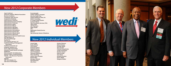

**Agate Healthcare American Podiatric Medical Association Business Architects Companion Data Services Cooperative Exchange Delta Dental of Arkansas Delta Dental Insurance Company Delta Dental of Colorado Delta Dental of Idaho Delta Dental of Illinois Delta Dental of Michigan Delta Dental of Oklahoma Delta Dental of Pennsylvania Delta Dental of Puerto Rico Delta Dental of Rhode Island Delta Dental of Wisconsin Department of Vermont Health Access EDI Specialists, Inc EHG-DentalXChange Equifax Inc. Fore Support Services, LLC Healthcare Billing & Management Association Healthcare Extranets LLC Integritas Solutions LLC Kunz, Leigh & Associates Maryland Health Benefit Exchange MedAssets Minnesota ICD-10 Collaborative Missouri Office of Administration NACHA - The Electronic Payments Association NASCIO NIIT Technologies, Inc. Oak Grove Technologies**

**PracticeInsight Seattle Children's Hospital Security Health Plan Simply Healthcare Plans, Inc Slalom Consulting St. Joseph Health System SunGard iWorks Tata Consultancy Services (TCS) TMG Health UW Physicians Valley Health VITL Washington Dental Service WEX Inc. Yale University School of Medicine**



## New 2012 Corporate Members

## New 2012 Individual Members

**Umesh Bajaj Evelyn Bishop Chris Bowen Kimberly Bratton Stephanie Brown William Campbell John Christiansen Tommaso DiGiovanni Gloria Doehling Joshua Tyson Houston Richard May Monique Nasland Faye Newsome Alex Olson**

**Kristina Petersen Debra Primeau Pyreddy Reddy Steve Runkel Chandra Sangubhotla Joseph Santangelo Dominic Saroni Patricia Smith Tom Stead Kimberly Stratton Danny Webb Margaret Weiker**